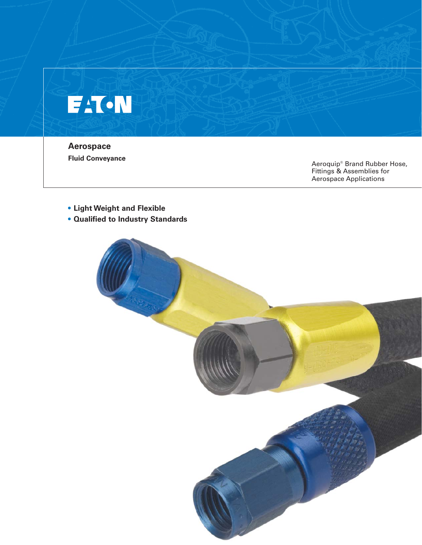# **FAT-N**

**Aerospace**

**Fluid Conveyance**<br>
Aeroquip® Brand Rubber Hose, Fittings & Assemblies for Aerospace Applications

- **Light Weight and Flexible**
- **Qualified to Industry Standards**

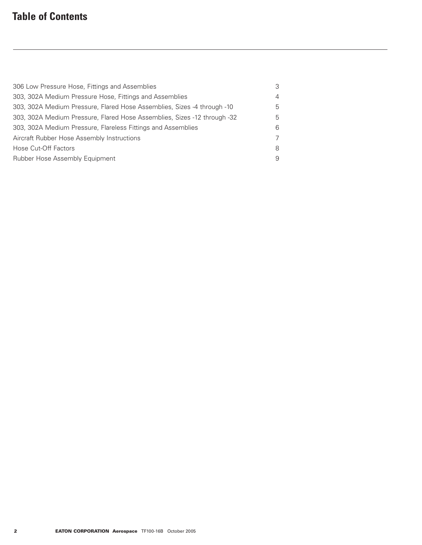# **Table of Contents**

| 306 Low Pressure Hose, Fittings and Assemblies                           | 3              |
|--------------------------------------------------------------------------|----------------|
| 303, 302A Medium Pressure Hose, Fittings and Assemblies                  | $\overline{4}$ |
| 303, 302A Medium Pressure, Flared Hose Assemblies, Sizes -4 through -10  | 5              |
| 303, 302A Medium Pressure, Flared Hose Assemblies, Sizes -12 through -32 | 5              |
| 303, 302A Medium Pressure, Flareless Fittings and Assemblies             | 6              |
| Aircraft Rubber Hose Assembly Instructions                               | $\overline{7}$ |
| Hose Cut-Off Factors                                                     | 8              |
| Rubber Hose Assembly Equipment                                           | 9              |
|                                                                          |                |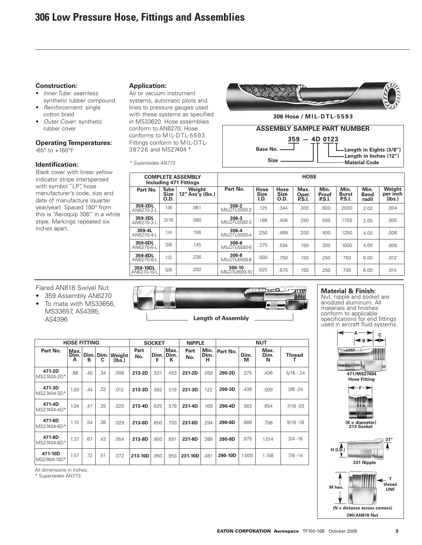# **Construction:**

- Inner Tube: seamless synthetic rubber compound
- Reinforcement: single cotton braid
- Outer Cover: synthetic rubber cover

# **Operating Temperatures:**

 $-65^\circ$  to  $+160^\circ$ F

# **Identification:**

Black cover with linear yellow indicator stripe interspersed with symbol "LP", hose manufacturer's code, size and date of manufacture (quarter year/year). Spaced 180° from this is "Aeroquip 306" in a white stipe. Markings repeated six inches apart.

# **Application:**

Air or vacuum instrument systems, automatic pilots and lines to pressure gauges used with these systems as specified in MS33620. Hose assemblies conform to AN6270. Hose conforms to MIL-DTL-5593. Fittings conform to MIL-DTL-38726 and MS27404.\*

\* Supersedes AN773



**306 Hose / M I L-DTL-5593**



| <b>COMPLETE ASSEMBLY</b><br><b>Including 471 Fittings</b> |                                    |                                                               | <b>HOSE</b>               |                             |                             |                         |                         |                                |                              |                              |  |  |  |
|-----------------------------------------------------------|------------------------------------|---------------------------------------------------------------|---------------------------|-----------------------------|-----------------------------|-------------------------|-------------------------|--------------------------------|------------------------------|------------------------------|--|--|--|
| Part No.                                                  | <b>Tube</b><br><b>Size</b><br>O.D. | Weight<br>$12''$ Ass <sup><math>\tilde{y}</math></sup> (lbs.) | Part No.                  | Hose<br><b>Size</b><br>I.D. | Hose<br><b>Size</b><br>O.D. | Max.<br>Oper.<br>P.S.I. | Min.<br>Proof<br>P.S.I. | Min.<br>Burst<br><b>P.S.I.</b> | Min.<br><b>Bend</b><br>radii | Weight<br>per inch<br>(Ibs.) |  |  |  |
| 359-2DL<br>AN6270-2-L                                     | 1/8                                | .061                                                          | 306-2<br>MIL-DTL-5593-2   | .125                        | .344                        | 300                     | 600                     | 2000                           | 2.00                         | .004                         |  |  |  |
| 359-3DL<br>AN6270-3-L                                     | 3/16                               | .080                                                          | 306-3<br>MIL-DTL-5593-3   | .188                        | .406                        | 250                     | 500                     | 1700                           | 2.00                         | .005                         |  |  |  |
| 359-4L<br>AN6270-4-L                                      | 1/4                                | .106                                                          | 306-4<br>MII-DTI-5593-4   | .250                        | .469                        | 200                     | 400                     | 1250                           | 4.00                         | .006                         |  |  |  |
| 359-6DL<br>AN6270-6-L                                     | 3/8                                | .145                                                          | 306-6<br>MIL-DTL-5593-6   | .375                        | .594                        | 150                     | 300                     | 1000                           | 4.00                         | .008                         |  |  |  |
| 359-8DL<br>AN6270-8-L                                     | 1/2                                | .236                                                          | 306-8<br>MIL-DTL-5593-8   | .500                        | .750                        | 150                     | 250                     | 750                            | 6.00                         | .012                         |  |  |  |
| 359-10DL<br>AN6270-10-L                                   | 5/8                                | .292                                                          | 306-10<br>MIL-DTL-5593-10 | .625                        | .875                        | 150                     | 250                     | 700                            | 6.00                         | .014                         |  |  |  |

Flared AN818 Swivel Nut

- 359 Assembly AN6270
- To mate with MS33656, MS33657, AS4395, AS4396

#### **HOSE FITTING SOCKET Part No. Dim. A Dim. B Part No. Dim. F Max. Dim. K Min. Dim. H Dim. M Max. Dim. N 471-2D** MS27404-2D\* **471-3D** MS27404-3D **471-4D** MS27404-4D **471-6D** MS27404-6D<sup>\*</sup> **471-8D** MS27404-8D .88 1.00 1.04 1.15 1.37 .40 .44 .47 .54 .67 **213-2D 213-3D 213-4D 213-6D 213-8D** .531 .562 .625 .650 .800 .453 .516 .578 .703 .891 .059 .122 .169 .294 .388 .375 .438 .563 .688 .875 .436 .509 .654 .798 1.014 **Dim. C** .34 .32 .35 .38 .43 **Weight (lbs.)** .008 .012 .020 .029 .054 **Part No. 231-2D 231-3D 231-4D 231-6D 231-8D NIPPLE NUT Part No. 290-2D 290-3D 290-4D 290-6D 290-8D** 5/16 - 24 3/8 -24 7/16 -20 9/16 -18 3/4 -16 **Thread T**

All dimensions in inches.

1.57

.72

.51

.072

**213-10D**

.950

.953

**231-10D**

.481

**290-10D**

1.000

1.158

\* Supersedes AN773.

**471-10D** MS27404-10D<sup>\*</sup>



# **Material & Finish:**

Nut, nipple and socket are anodized aluminum. All materials and finishes conform to applicable specifications for end fittings used in aircraft fluid systems.



7/8 -14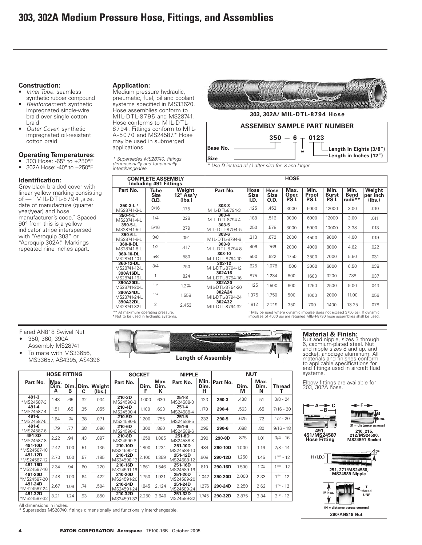# **Construction:**

- Inner Tube: seamless synthetic rubber compound
- Reinforcement: synthetic impregnated single-wire braid over single cotton braid
- Outer Cover: synthetic impregnated oil-resistant cotton braid

# **Operating Temperatures:**

- 303 Hose: -65° to +250°F<br>• 3024 Hose: -40° to +250°F • 302A Hose: -40° to +250°F
- 

# **Identification:**

Grey-black braided cover with linear yellow marking consisting of — "MIL-DTL-8794 ,size, date of manufacture (quarter year/year) and hose manufacturer's code." Spaced 90° from this is a yellow indicator stripe interspersed with "Aeroquip 303" or "Aeroquip 302A." Markings repeated nine inches apart.

**Application:** Medium pressure hydraulic, pneumatic, fuel, oil and coolant systems specified in MS33620. Hose assemblies conform to

MIL-DTL-8795 and MS28741. Hose conforms to MIL-DTL-8794. Fittings conform to MIL-A-5070 and MS24587.\* Hose may be used in submerged applications.

\* Supersedes MS28740, fittings dimensionally and functionally interchangeable.





\* Use D instead of (-) after size for -8 and larger

|                                            | <b>COMPLETE ASSEMBLY</b><br>Including 491 Fittings |                               | <b>HOSE</b>                 |                             |                             |                         |                                                                    |                                |                                |                              |  |  |  |  |
|--------------------------------------------|----------------------------------------------------|-------------------------------|-----------------------------|-----------------------------|-----------------------------|-------------------------|--------------------------------------------------------------------|--------------------------------|--------------------------------|------------------------------|--|--|--|--|
| Part No.                                   | <b>Tube</b><br><b>Size</b><br>O.D.                 | Weight<br>12" Ass'y<br>(lbs.) | Part No.                    | Hose<br><b>Size</b><br>I.D. | Hose<br><b>Size</b><br>O.D. | Max.<br>Oper.<br>P.S.I. | Min.<br>Proof<br>P.S.I.                                            | Min.<br><b>Burst</b><br>P.S.I. | Min.<br><b>Bend</b><br>radii** | Weight<br>per inch<br>(Ibs.) |  |  |  |  |
| 350-3-L <sup>+</sup><br>MS28741-3-L        | 3/16                                               | .175                          | $303-3$<br>MIL-DTL-8794-3   | .125                        | .453                        | 3000                    | 6000                                                               | 12000                          | 3.00                           | .010                         |  |  |  |  |
| $350 - 4 - L$ <sup>11</sup><br>MS28741-4-L | 1/4                                                | .228                          | $303 - 4$<br>MII-DTI-8794-4 | .188                        | .516                        | 3000                    | 6000                                                               | 12000                          | 3.00                           | .011                         |  |  |  |  |
| 350-5-L<br>MS28741-5-L                     | 5/16                                               | .279                          | 303-5<br>MIL-DTL-8794-5     | .250                        | .578                        | 3000                    | 5000                                                               | 10000                          | 3.38                           | .013                         |  |  |  |  |
| $350 - 6 - L$<br>MS28741-6-L               | 3/8                                                | .391                          | $303 - 6$<br>MII-DTI-8794-6 | .313                        | .672                        | 2000                    | 4500                                                               | 9000                           | 4.00                           | .019                         |  |  |  |  |
| 360-8-DL<br>MS28741-8-L                    | 1/2                                                | .417                          | $303 - 8$<br>MIL-DTL-8794-8 | .406                        | .766                        | 2000                    | 4000                                                               | 8000                           | 4.62                           | .022                         |  |  |  |  |
| 360-10-DL<br>MS28741-10-L                  | 5/8                                                | .580                          | 303-10<br>MIL-DTL-8794-10   | .500                        | .922                        | 1750                    | 3500                                                               | 7000                           | 5.50                           | .031                         |  |  |  |  |
| 360-12-DL<br>MS28741-12-L                  | 3/4                                                | .750                          | 303-12<br>MII-DTI-8794-12   | .625                        | 1.078                       | 1500                    | 3000                                                               | 6000                           | 6.50                           | .038                         |  |  |  |  |
| 390A16DL<br>MS28741-16-L                   | 1                                                  | .824                          | 302A16<br>MIL-DTL-8794-16   | .875                        | 1.234                       | 800                     | 1600                                                               | 3200                           | 7.38                           | .037                         |  |  |  |  |
| 390A20DL<br>MS28741-20-L                   | 11/4                                               | 1.274                         | 302A20<br>MIL-DTL-8794-20   | 1.125                       | 1.500                       | 600                     | 1250                                                               | 2500                           | 9.00                           | .043                         |  |  |  |  |
| 390A24DL<br>MS28741-24-L                   | 11/2                                               | 1.558                         | 302A24<br>MIL-DTL-8794-24   | 1.375                       | 1.750                       | 500                     | 1000                                                               | 2000                           | 11.00                          | .056                         |  |  |  |  |
| 390A32DL<br>MS28741-32-L                   | $\overline{2}$                                     | 2.453                         | 302A32<br>MIL-DTL-8794-32   | 1.812                       | 2.219                       | 350                     | 700                                                                | 1400                           | 13.25                          | .078                         |  |  |  |  |
| ** At mayimum onerating pressure           |                                                    |                               |                             |                             |                             |                         | the used where dynamic impulse does not exceed 3750 psi If dynamic |                                |                                |                              |  |  |  |  |

\*\* At maximum operating pressure. **†** Not to be used in hydraulic systems.

**††** May be used where dynamic impulse does not exceed 3750 psi. If dynamic impulses of 4500 psi are required MIL-H-8790 hose assemblies shall be used.

# Flared AN818 Swivel Nut

- 350, 360, 390A Assembly MS28741 To mate with MS33656,
- MS33657, AS4395, AS4396

|  | <b>HOW ARE JOIN AND ARE SITE OF LAND AT A COMPANY.</b> |  |
|--|--------------------------------------------------------|--|
|  |                                                        |  |
|  |                                                        |  |
|  | <b>Length of Assembly</b>                              |  |

| <b>HOSE FITTING</b>    |                   |           |           |                  | <b>SOCKET</b>         |           |                   | <b>NIPPLE</b>          |                   | <b>NUT</b> |           |                   |                 |  |  |
|------------------------|-------------------|-----------|-----------|------------------|-----------------------|-----------|-------------------|------------------------|-------------------|------------|-----------|-------------------|-----------------|--|--|
| Part No.               | Max.<br>Dim.<br>А | Dim.<br>в | Dim.<br>C | Weight<br>(lbs.) | Part No.              | Dim.<br>F | Max.<br>Dim.<br>К | Part No.               | Min.<br>Dim.<br>н | Part No.   | Dim.<br>М | Max.<br>Dim.<br>N | <b>Thread</b>   |  |  |
| 491-3<br>*MS24587-3    | 1.43              | .65       | .32       | .034             | 210-3D<br>MS24590-3   | .1.000    | .630              | $251-3$<br>MS24588-3   | .123              | 290-3      | .438      | .51               | $3/8 - 24$      |  |  |
| 491-4<br>*MS24587-4    | 1.51              | .65       | .35       | .055             | 210-4D<br>MS24590-4   | 1.100     | .693              | $251 - 4$<br>MS24588-4 | .170              | 290-4      | 563       | .65               | $7/16 - 20$     |  |  |
| 491-5<br>*MS24587-5    | 1.64              | .74       | .38       | .071             | 210-5D<br>MS24590-5   | 1.200     | .755              | $251 - 5$<br>MS24588-5 | .232              | 290-5      | 625       | .72               | $1/2 - 20$      |  |  |
| 491-6<br>*MS24587-6    | 1.79              | .77       | .38       | .096             | 210-6D<br>MS24590-6   | 1.300     | .880              | $251-6$<br>MS24588-6   | .295              | 290-6      | 688       | .80               | $9/16 - 18$     |  |  |
| 491-8D<br>*MS24587-8   | 2.22              | .94       | .43       | .097             | 210-8D<br>MS24590-8   | 1.650     | 1.005             | 251-8D<br>MS24588-8    | .390              | 290-8D     | .875      | 1.01              | $3/4 - 16$      |  |  |
| 491-10D<br>*MS24587-10 | 2.42              | 1.00      | .51       | .135             | 210-10D<br>MS24590-10 | 1.800     | 1.234             | 251-10D<br>MS24588-10  | .484              | 290-10D    | 1.000     | 1.16              | $7/8 - 14$      |  |  |
| 491-12D<br>*MS24587-12 | 2.70              | 1.00      | .57       | .185             | 210-12D<br>MS24590-12 | 2.100     | 1.359             | 251-12D<br>MS24588-12  | .608              | 290-12D    | 1.250     | 1.45              | $1^{1/16} - 12$ |  |  |
| 491-16D<br>*MS24587-16 | 2.34              | .94       | .60       | .220             | 210-16D<br>MS24591-16 | 1.661     | 1.546             | 251-16D<br>MS24589-16  | .810              | 290-16D    | 1.500     | 1.74              | $1^{5/16} - 12$ |  |  |
| 491-20D<br>*MS24587-20 | 2.48              | 1.00      | .64       | .422             | 210-20D<br>MS24591-20 | 1.750     | 1.921             | 251-20D<br>MS24589-20  | 1.042             | 290-20D    | 2.000     | 2.33              | $1^{5/8} - 12$  |  |  |
| 491-24D<br>*MS24587-24 | 2.67              | 1.09      | .74       | .504             | 210-24D<br>MS24591-24 | 1.845     | 2.124             | 251-24D<br>MS24589-24  | 1.276             | 290-24D    | 2.250     | 2.62              | $1^{7/8} - 12$  |  |  |
| 491-32D<br>*MS24587-32 | 3.21              | 1.24      | .93       | .850             | 210-32D<br>MS24591-32 | 2.250     | 2.640             | 251-32D<br>MS24589-32  | 1.745             | 290-32D    | 2.875     | 3.34              | $2^{1/2} - 12$  |  |  |

**Material & Finish:**

Nut and nipple, sizes 3 through 6, cadmium-plated steel. Nut and nipple sizes 8 and up, and socket, anodized aluminum. All materials and finishes conform to applicable specifications for end fittings used in aircraft fluid systems.

Elbow fittings are available for 303, 302A hose.



All dimensions in inches.

\* Supersedes MS28740, fittings dimensionally and functionally interchangeable.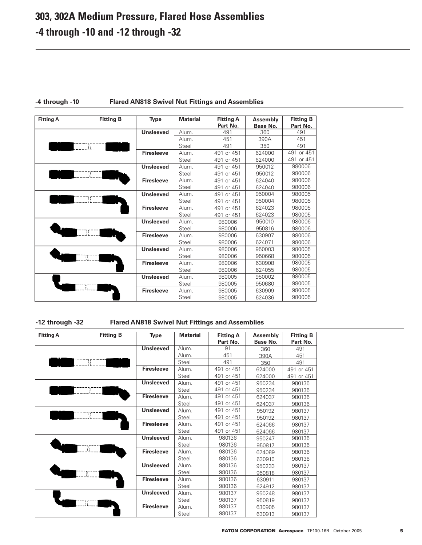# **303, 302A Medium Pressure, Flared Hose Assemblies -4 through -10 and -12 through -32**

| <b>Fitting A</b> | <b>Fitting B</b> | <b>Type</b>       | <b>Material</b> | <b>Fitting A</b><br>Part No. | <b>Assembly</b><br><b>Base No.</b> | <b>Fitting B</b><br>Part No. |
|------------------|------------------|-------------------|-----------------|------------------------------|------------------------------------|------------------------------|
|                  |                  | <b>Unsleeved</b>  | Alum.           | 491                          | 360                                | 491                          |
|                  |                  |                   | Alum.           | 451                          | 390A                               | 451                          |
|                  | {{ ∃ ∃           |                   | Steel           | 491                          | 350                                | 491                          |
|                  |                  | <b>Firesleeve</b> | Alum.           | 491 or 451                   | 624000                             | 491 or 451                   |
|                  |                  |                   | Steel           | 491 or 451                   | 624000                             | 491 or 451                   |
|                  |                  | <b>Unsleeved</b>  | Alum.           | 491 or 451                   | 950012                             | 980006                       |
|                  |                  |                   | Steel           | 491<br>or 451                | 950012                             | 980006                       |
|                  |                  | <b>Firesleeve</b> | Alum.           | 491 or 451                   | 624040                             | 980006                       |
|                  |                  |                   | Steel           | 491 or 451                   | 624040                             | 980006                       |
|                  |                  | <b>Unsleeved</b>  | Alum.           | 491 or 451                   | 950004                             | 980005                       |
| W                |                  |                   | Steel           | 491 or 451                   | 950004                             | 980005                       |
|                  |                  | <b>Firesleeve</b> | Alum.           | 491 or 451                   | 624023                             | 980005                       |
|                  |                  |                   | Steel           | 491 or 451                   | 624023                             | 980005                       |
|                  |                  | <b>Unsleeved</b>  | Alum.           | 980006                       | 950010                             | 980006                       |
|                  |                  |                   | Steel           | 980006                       | 950816                             | 980006                       |
|                  |                  | <b>Firesleeve</b> | Alum.           | 980006                       | 630907                             | 980006                       |
|                  |                  |                   | Steel           | 980006                       | 624071                             | 980006                       |
|                  |                  | <b>Unsleeved</b>  | Alum.           | 980006                       | 950003                             | 980005                       |
|                  |                  |                   | Steel           | 980006                       | 950668                             | 980005                       |
|                  |                  | <b>Firesleeve</b> | Alum.           | 980006                       | 630908                             | 980005                       |
|                  |                  |                   | Steel           | 980006                       | 624055                             | 980005                       |
|                  |                  | <b>Unsleeved</b>  | Alum.           | 980005                       | 950002                             | 980005                       |
|                  |                  |                   | Steel           | 980005                       | 950680                             | 980005                       |
|                  |                  | <b>Firesleeve</b> | Alum.           | 980005                       | 630909                             | 980005                       |
|                  |                  |                   | Steel           | 980005                       | 624036                             | 980005                       |

# **-4 through -10 Flared AN818 Swivel Nut Fittings and Assemblies**

**-12 through -32 Flared AN818 Swivel Nut Fittings and Assemblies**

| <b>Fitting A</b> | <b>Fitting B</b> | Type              | <b>Material</b> | <b>Fitting A</b><br>Part No. | <b>Assembly</b><br><b>Base No.</b> | <b>Fitting B</b><br>Part No. |
|------------------|------------------|-------------------|-----------------|------------------------------|------------------------------------|------------------------------|
|                  |                  | <b>Unsleeved</b>  | Alum.           | 91                           | 360                                | 491                          |
|                  |                  |                   | Alum.           | 451                          | 390A                               | 451                          |
|                  | -17 -<br>}}      |                   | Steel           | 491                          | 350                                | 491                          |
|                  |                  | <b>Firesleeve</b> | <b>Alum</b>     | 491 or 451                   | 624000                             | 491 or 451                   |
|                  |                  |                   | Steel           | 491 or 451                   | 624000                             | 491 or 451                   |
|                  |                  | <b>Unsleeved</b>  | Alum.           | 491 or 451                   | 950234                             | 980136                       |
|                  |                  |                   | Steel           | 491 or 451                   | 950234                             | 980136                       |
|                  |                  | <b>Firesleeve</b> | Alum.           | 491 or 451                   | 624037                             | 980136                       |
|                  |                  |                   | Steel           | 491 or 451                   | 624037                             | 980136                       |
|                  |                  | <b>Unsleeved</b>  | Alum.           | 491 or 451                   | 950192                             | 980137                       |
|                  | ₩                |                   | Steel           | 491 or 451                   | 950192                             | 980137                       |
|                  |                  | <b>Firesleeve</b> | Alum.           | 491 or 451                   | 624066                             | 980137                       |
|                  |                  |                   | Steel           | 491 or 451                   | 624066                             | 980137                       |
|                  |                  | <b>Unsleeved</b>  | Alum.           | 980136                       | 950247                             | 980136                       |
|                  |                  |                   | Steel           | 980136                       | 950817                             | 980136                       |
|                  |                  | <b>Firesleeve</b> | Alum.           | 980136                       | 624089                             | 980136                       |
|                  |                  |                   | Steel           | 980136                       | 630910                             | 980136                       |
|                  |                  | <b>Unsleeved</b>  | Alum.           | 980136                       | 950233                             | 980137                       |
|                  |                  |                   | Steel           | 980136                       | 950818                             | 980137                       |
|                  |                  | <b>Firesleeve</b> | Alum.           | 980136                       | 630911                             | 980137                       |
|                  |                  |                   | Steel           | 980136                       | 624912                             | 980137                       |
|                  |                  | <b>Unsleeved</b>  | Alum.           | 980137                       | 950248                             | 980137                       |
|                  |                  |                   | Steel           | 980137                       | 950819                             | 980137                       |
|                  |                  | <b>Firesleeve</b> | Alum.           | 980137                       | 630905                             | 980137                       |
|                  |                  |                   | Steel           | 980137                       | 630913                             | 980137                       |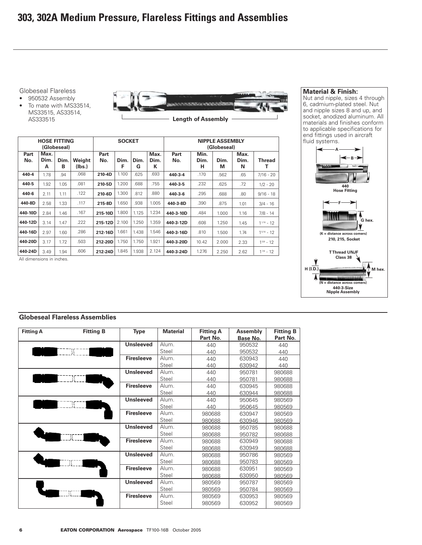Globeseal Flareless

• 950532 Assembly • To mate with MS33514, MS33515, AS33514, AS333515



**Length of Assembly**

|             | <b>HOSE FITTING</b> | (Globeseal) |                  |             | <b>SOCKET</b> |           |                                  | <b>NIPPLE ASSEMBLY</b><br>(Globeseal) |                   |           |                   |                 |  |
|-------------|---------------------|-------------|------------------|-------------|---------------|-----------|----------------------------------|---------------------------------------|-------------------|-----------|-------------------|-----------------|--|
| Part<br>No. | Max.<br>Dim.<br>А   | Dim.<br>в   | Weight<br>(Ibs.) | Part<br>No. | Dim.<br>F     | Dim.<br>G | Max.<br>Part<br>Dim.<br>No.<br>К |                                       | Min.<br>Dim.<br>н | Dim.<br>М | Max.<br>Dim.<br>N | <b>Thread</b>   |  |
| 440-4       | 1.78                | .94         | .068             | 210-4D      | 1.100         | .625      | .693                             | 440-3-4                               | .170              | .562      | .65               | $7/16 - 20$     |  |
| 440-5       | 1.92                | 1.05        | .081             | 210-5D      | 1.200         | .688      | .755                             | 440-3-5                               | .232              | .625      | .72               | $1/2 - 20$      |  |
| 440-6       | 2.11                | 1.11        | .122             | 210-6D      | 1.300         | .812      | .880                             | 440-3-6                               | .295              | .688      | .80               | $9/16 - 18$     |  |
| 440-8D      | 2.58                | 1.33        | .117             | 215-8D      | 1.650         | .938      | 1.005                            | 440-3-8D                              | .390              | .875      | 1.01              | $3/4 - 16$      |  |
| 440-10D     | 2.84                | 1.46        | .167             | 215-10D     | 1.800         | 1.125     | 1.234                            | 440-3-10D                             | .484              | 1.000     | 1.16              | $7/8 - 14$      |  |
| 440-12D     | 3.14                | 1.47        | .222             | 215-12D     | 2.100         | 1.250     | 1.359                            | 440-3-12D                             | .608              | 1.250     | 1.45              | $1^{1/16} - 12$ |  |
| 440-16D     | 2.97                | 1.60        | .286             | 212-16D     | 1.661         | 1.438     | 1.546                            | 440-3-16D                             | .810              | 1.500     | 1.74              | $1^{5/16} - 12$ |  |
| 440-20D     | 3.17                | 1.72        | .503             | 212-20D     | 1.750         | 1.750     | 1.921                            | 440-3-20D                             | 10.42             | 2.000     | 2.33              | $1^{5/8} - 12$  |  |
| 440-24D     | 3.49                | 1.94        | .606             | 212-24D     | 1.845         | 1.938     | 2.124                            | 440-3-24D                             | 1.276             | 2.250     | 2.62              | $1^{7/8} - 12$  |  |

All dimensions in inches.

## **Material & Finish:**

Nut and nipple, sizes 4 through 6, cadmium-plated steel. Nut and nipple sizes 8 and up, and socket, anodized aluminum. All materials and finishes conform to applicable specifications for end fittings used in aircraft fluid systems.



# **Globeseal Flareless Assemblies**

| <b>Fitting A</b> | <b>Fitting B</b> | <b>Type</b>       | <b>Material</b> | <b>Fitting A</b><br>Part No. | <b>Assembly</b><br>Base No. | <b>Fitting B</b><br>Part No. |
|------------------|------------------|-------------------|-----------------|------------------------------|-----------------------------|------------------------------|
|                  |                  | <b>Unsleeved</b>  | Alum.           | 440                          | 950532                      | 440                          |
|                  |                  |                   | Steel           | 440                          | 950532                      | 440                          |
|                  |                  | <b>Firesleeve</b> | Alum.           | 440                          | 630943                      | 440                          |
|                  |                  |                   | Steel           | 440                          | 630942                      | 440                          |
|                  |                  | <b>Unsleeved</b>  | Alum.           | 440                          | 950781                      | 980688                       |
|                  |                  |                   | Steel           | 440                          | 950781                      | 980688                       |
|                  |                  | <b>Firesleeve</b> | Alum.           | 440                          | 630945                      | 980688                       |
|                  |                  |                   | Steel           | 440                          | 630944                      | 980688                       |
|                  |                  | <b>Unsleeved</b>  | Alum.           | 440                          | 950645                      | 980569                       |
|                  | JΣ               |                   | Steel           | 440                          | 950645                      | 980569                       |
|                  |                  | <b>Firesleeve</b> | Alum.           | 980688                       | 630947                      | 980569                       |
|                  |                  |                   | Steel           | 980688                       | 630946                      | 980569                       |
|                  |                  | <b>Unsleeved</b>  | Alum.           | 980688                       | 950785                      | 980688                       |
|                  |                  |                   | Steel           | 980688                       | 950782                      | 980688                       |
|                  |                  | <b>Firesleeve</b> | Alum.           | 980688                       | 630949                      | 980688                       |
|                  |                  |                   | Steel           | 980688                       | 630949                      | 980688                       |
|                  |                  | <b>Unsleeved</b>  | Alum.           | 980688                       | 950786                      | 980569                       |
|                  |                  |                   | Steel           | 980688                       | 950783                      | 980569                       |
|                  |                  | <b>Firesleeve</b> | Alum.           | 980688                       | 630951                      | 980569                       |
|                  |                  |                   | Steel           | 980688                       | 630950                      | 980569                       |
|                  |                  | <b>Unsleeved</b>  | Alum.           | 980569                       | 950787                      | 980569                       |
|                  |                  |                   | Steel           | 980569                       | 950784                      | 980569                       |
|                  |                  | <b>Firesleeve</b> | Alum.           | 980569                       | 630953                      | 980569                       |
|                  |                  |                   | Steel           | 980569                       | 630952                      | 980569                       |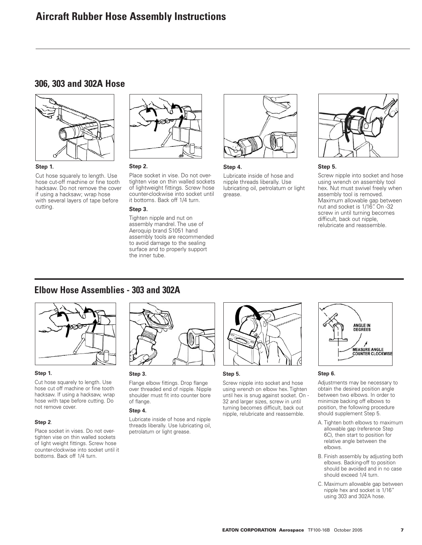# **306, 303 and 302A Hose**



Cut hose squarely to length. Use hose cut-off machine or fine tooth hacksaw. Do not remove the cover if using a hacksaw; wrap hose with several layers of tape before cutting.



#### **Step 2.**

Place socket in vise. Do not overtighten vise on thin walled sockets of lightweight fittings. Screw hose counter-clockwise into socket until it bottoms. Back off 1/4 turn.

#### **Step 3.**

Tighten nipple and nut on assembly mandrel. The use of Aeroquip brand S1051 hand assembly tools are recommended to avoid damage to the sealing surface and to properly support the inner tube.



#### **Step 4.**

Lubricate inside of hose and nipple threads liberally. Use lubricating oil, petrolatum or light grease.



#### **Step 5.**

Screw nipple into socket and hose using wrench on assembly tool hex. Nut must swivel freely when assembly tool is removed. Maximum allowable gap between nut and socket is 1/16". On -32 screw in until turning becomes difficult, back out nipple, relubricate and reassemble.

# **Elbow Hose Assemblies - 303 and 302A**



#### **Step 1.**

Cut hose squarely to length. Use hose cut off machine or fine tooth hacksaw. If using a hacksaw, wrap hose with tape before cutting. Do not remove cover.

#### **Step 2**.

Place socket in vises. Do not overtighten vise on thin walled sockets of light weight fittings. Screw hose counter-clockwise into socket until it bottoms. Back off 1/4 turn.



### **Step 3.**

Flange elbow fittings. Drop flange over threaded end of nipple. Nipple shoulder must fit into counter bore of flange.

#### **Step 4.**

Lubricate inside of hose and nipple threads liberally. Use lubricating oil, petrolatum or light grease.



#### **Step 5.**

Screw nipple into socket and hose using wrench on elbow hex. Tighten until hex is snug against socket. On - 32 and larger sizes, screw in until turning becomes difficult, back out nipple, relubricate and reassemble.



#### **Step 6.**

Adjustments may be necessary to obtain the desired position angle between two elbows. In order to minimize backing off elbows to position, the following procedure should supplement Step 5.

- A. Tighten both elbows to maximum allowable gap (reference Step 6C), then start to position for relative angle between the elbows.
- B. Finish assembly by adjusting both elbows. Backing-off to position should be avoided and in no case should exceed 1/4 turn.
- C. Maximum allowable gap between nipple hex and socket is 1/16" using 303 and 302A hose.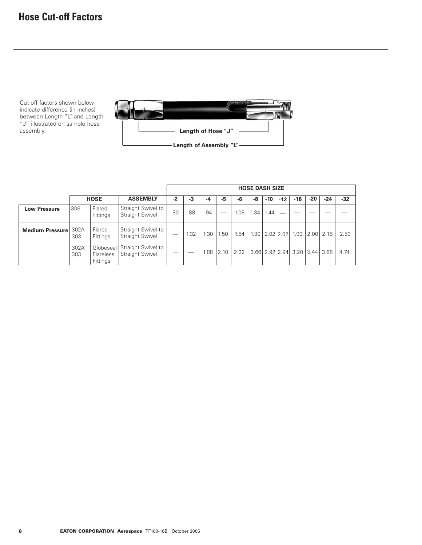# **Hose Cut-off Factors**

Cut off factors shown below indicate difference (in inches) between Length "L" and Length "J" illustrated on sample hose assembly.



|                        |                                                   |                           |                                              |     | <b>HOSE DASH SIZE</b> |      |      |      |      |       |             |                               |       |                          |       |
|------------------------|---------------------------------------------------|---------------------------|----------------------------------------------|-----|-----------------------|------|------|------|------|-------|-------------|-------------------------------|-------|--------------------------|-------|
|                        | <b>HOSE</b>                                       |                           | <b>ASSEMBLY</b>                              | -2  | $-3$                  | -4   | -5   | -6   | -8   | $-10$ | $-12$       | -16                           | $-20$ | $-24$                    | $-32$ |
| <b>Low Pressure</b>    | 306                                               | Flared<br><b>Fittings</b> | Straight Swivel to<br>Straight Swivel        | .80 | .88                   | .94  |      | 1.08 | 1.34 | 1.44  |             |                               |       |                          |       |
| <b>Medium Pressure</b> | Flared<br>302A<br>303<br>Fittings                 |                           | Straight Swivel to<br><b>Straight Swivel</b> |     | .32                   | 1.30 | 1.50 | 1.54 | 1.90 |       | $2.02$ 2.02 |                               |       | $1.90$   $2.00$   $2.18$ | 2.50  |
|                        | 302A<br>Globeseal<br>303<br>Flareless<br>Fittings |                           | Straight Swivel to<br><b>Straight Swivel</b> |     |                       | 1.88 | 2.10 | 2.22 |      |       |             | 2.66 2.92 2.94 3.20 3.44 3.88 |       |                          | 4.74  |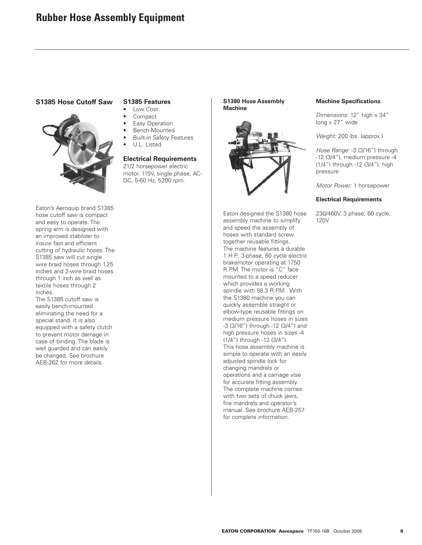## **S1385 Hose Cutoff Saw**



Eaton's Aeroquip brand S1385 hose cutoff saw is compact and easy to operate. The spring arm is designed with an improved stabilizer to insure fast and efficient cutting of hydraulic hoses. The S1385 saw will cut single wire braid hoses through 1.25 inches and 2-wire braid hoses through 1 inch as well as textile hoses through 2 inches.

The S1385 cutoff saw is easily bench-mounted eliminating the need for a special stand. It is also equipped with a safety clutch to prevent motor damage in case of binding. The blade is well guarded and can easily be changed. See brochure AEB-262 for more details.

# **S1385 Features**

- Low Cost
- Compact
- **Easy Operation**
- Bench-Mounted
- **Built-in Safety Features**
- U.L. Listed

# **Electrical Requirements**

21/2 horsepower electric motor. 115V, single phase, AC-DC, 5-60 Hz, 5200 rpm.

#### **S1380 Hose Assembly Machine**



Eaton designed the S1380 hose assembly machine to simplify and speed the assembly of hoses with standard screw together reusable fittings. The machine features a durable 1 H.P., 3-phase, 60 cycle electric brakemotor operating at 1750 R.P.M. The motor is "C" face mounted to a speed reducer which provides a working spindle with 58.3 R.P.M. With the S1380 machine you can quickly assemble straight or elbow-type reusable fittings on medium pressure hoses in sizes -3 (3/16") through -12 (3/4") and high pressure hoses in sizes -4 (1/4") through -12 (3/4"). This hose assembly machine is simple to operate with an easily adjusted spindle lock for changing mandrels or operations and a carriage vise for accurate fitting assembly. The complete machine comes with two sets of chuck jaws, fire mandrels and operator's manual. See brochure AEB-257 for complete information.

## **Machine Specifications**

Dimensions: 12" high x 34" long x 27" wide

Weight: 200 lbs. (approx.)

Hose Range: -3 (3/16") through -12 (3/4"), medium pressure -4 (1/4") through -12 (3/4"), high pressure

Motor Power: 1 horsepower

#### **Electrical Requirements**

230/460V, 3 phase, 60 cycle, 120V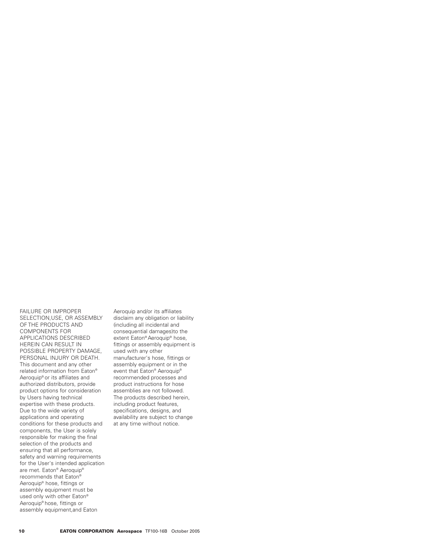FAILURE OR IMPROPER SELECTION,USE, OR ASSEMBLY OF THE PRODUCTS AND COMPONENTS FOR APPLICATIONS DESCRIBED HEREIN CAN RESULT IN POSSIBLE PROPERTY DAMAGE, PERSONAL INJURY OR DEATH. This document and any other related information from Eaton® Aeroquip® or its affiliates and authorized distributors, provide product options for consideration by Users having technical expertise with these products. Due to the wide variety of applications and operating conditions for these products and components, the User is solely responsible for making the final selection of the products and ensuring that all performance, safety and warning requirements for the User's intended application are met. Eaton® Aeroquip® recommends that Eaton® Aeroquip® hose, fittings or assembly equipment must be used only with other Eaton® Aeroquip® hose, fittings or assembly equipment,and Eaton

Aeroquip and/or its affiliates disclaim any obligation or liability (including all incidental and consequential damages)to the extent Eaton® Aeroquip® hose, fittings or assembly equipment is used with any other manufacturer's hose, fittings or assembly equipment or in the event that Eaton® Aeroquip® recommended processes and product instructions for hose assemblies are not followed. The products described herein, including product features, specifications, designs, and availability are subject to change at any time without notice.